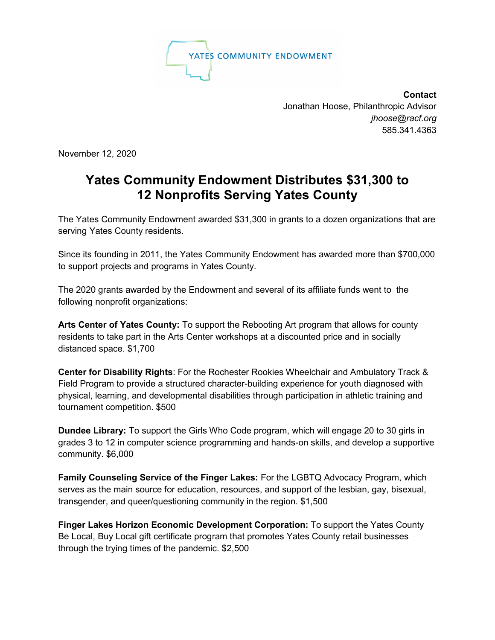

**Contact** Jonathan Hoose, Philanthropic Advisor  *[jhoose@racf.org](mailto:jhoose@racf.org)* 585.341.4363

November 12, 2020

## **Yates Community Endowment Distributes \$31,300 to 12 Nonprofits Serving Yates County**

The Yates Community Endowment awarded \$31,300 in grants to a dozen organizations that are serving Yates County residents.

Since its founding in 2011, the Yates Community Endowment has awarded more than \$700,000 to support projects and programs in Yates County.

The 2020 grants awarded by the Endowment and several of its affiliate funds went to the following nonprofit organizations:

**Arts Center of Yates County:** To support the Rebooting Art program that allows for county residents to take part in the Arts Center workshops at a discounted price and in socially distanced space. \$1,700

**Center for Disability Rights**: For the Rochester Rookies Wheelchair and Ambulatory Track & Field Program to provide a structured character-building experience for youth diagnosed with physical, learning, and developmental disabilities through participation in athletic training and tournament competition. \$500

**Dundee Library:** To support the Girls Who Code program, which will engage 20 to 30 girls in grades 3 to 12 in computer science programming and hands-on skills, and develop a supportive community. \$6,000

**Family Counseling Service of the Finger Lakes:** For the LGBTQ Advocacy Program, which serves as the main source for education, resources, and support of the lesbian, gay, bisexual, transgender, and queer/questioning community in the region. \$1,500

**Finger Lakes Horizon Economic Development Corporation:** To support the Yates County Be Local, Buy Local gift certificate program that promotes Yates County retail businesses through the trying times of the pandemic. \$2,500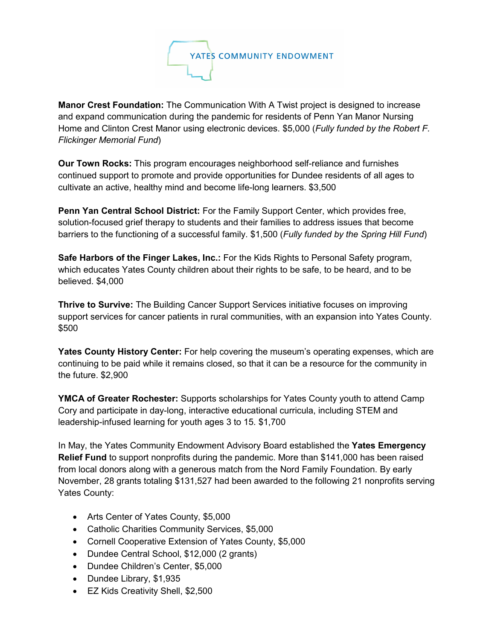

**Manor Crest Foundation:** The Communication With A Twist project is designed to increase and expand communication during the pandemic for residents of Penn Yan Manor Nursing Home and Clinton Crest Manor using electronic devices. \$5,000 (*Fully funded by the Robert F. Flickinger Memorial Fund*)

**Our Town Rocks:** This program encourages neighborhood self-reliance and furnishes continued support to promote and provide opportunities for Dundee residents of all ages to cultivate an active, healthy mind and become life-long learners. \$3,500

**Penn Yan Central School District:** For the Family Support Center, which provides free, solution-focused grief therapy to students and their families to address issues that become barriers to the functioning of a successful family. \$1,500 (*Fully funded by the Spring Hill Fund*)

**Safe Harbors of the Finger Lakes, Inc.:** For the Kids Rights to Personal Safety program, which educates Yates County children about their rights to be safe, to be heard, and to be believed. \$4,000

**Thrive to Survive:** The Building Cancer Support Services initiative focuses on improving support services for cancer patients in rural communities, with an expansion into Yates County. \$500

**Yates County History Center:** For help covering the museum's operating expenses, which are continuing to be paid while it remains closed, so that it can be a resource for the community in the future. \$2,900

**YMCA of Greater Rochester:** Supports scholarships for Yates County youth to attend Camp Cory and participate in day-long, interactive educational curricula, including STEM and leadership-infused learning for youth ages 3 to 15. \$1,700

In May, the Yates Community Endowment Advisory Board established the **Yates Emergency Relief Fund** to support nonprofits during the pandemic. More than \$141,000 has been raised from local donors along with a generous match from the Nord Family Foundation. By early November, 28 grants totaling \$131,527 had been awarded to the following 21 nonprofits serving Yates County:

- Arts Center of Yates County, \$5,000
- Catholic Charities Community Services, \$5,000
- Cornell Cooperative Extension of Yates County, \$5,000
- Dundee Central School, \$12,000 (2 grants)
- Dundee Children's Center, \$5,000
- Dundee Library, \$1,935
- EZ Kids Creativity Shell, \$2,500